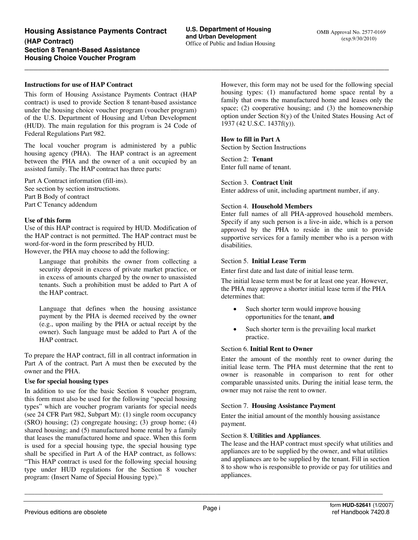**\_\_\_\_\_\_\_\_\_\_\_\_\_\_\_\_\_\_\_\_\_\_\_\_\_\_\_\_\_\_\_\_\_\_\_\_\_\_\_\_\_\_\_\_\_\_\_\_\_\_\_\_\_\_\_\_\_\_\_\_\_\_\_\_\_\_\_\_\_\_\_\_\_\_\_\_\_\_\_\_** 

## **Instructions for use of HAP Contract**

This form of Housing Assistance Payments Contract (HAP contract) is used to provide Section 8 tenant-based assistance under the housing choice voucher program (voucher program) of the U.S. Department of Housing and Urban Development (HUD). The main regulation for this program is 24 Code of Federal Regulations Part 982.

The local voucher program is administered by a public housing agency (PHA). The HAP contract is an agreement between the PHA and the owner of a unit occupied by an assisted family. The HAP contract has three parts:

Part A Contract information (fill-ins).

See section by section instructions. Part B Body of contract

Part C Tenancy addendum

#### **Use of this form**

Use of this HAP contract is required by HUD. Modification of the HAP contract is not permitted. The HAP contract must be word-for-word in the form prescribed by HUD.

However, the PHA may choose to add the following:

Language that prohibits the owner from collecting a security deposit in excess of private market practice, or in excess of amounts charged by the owner to unassisted tenants. Such a prohibition must be added to Part A of the HAP contract.

Language that defines when the housing assistance payment by the PHA is deemed received by the owner (e.g., upon mailing by the PHA or actual receipt by the owner). Such language must be added to Part A of the HAP contract.

To prepare the HAP contract, fill in all contract information in Part A of the contract. Part A must then be executed by the owner and the PHA.

#### **Use for special housing types**

In addition to use for the basic Section 8 voucher program, this form must also be used for the following "special housing types" which are voucher program variants for special needs (see 24 CFR Part 982, Subpart M): (1) single room occupancy (SRO) housing; (2) congregate housing; (3) group home; (4) shared housing; and (5) manufactured home rental by a family that leases the manufactured home and space. When this form is used for a special housing type, the special housing type shall be specified in Part A of the HAP contract, as follows: "This HAP contract is used for the following special housing type under HUD regulations for the Section 8 voucher program: (Insert Name of Special Housing type)."

However, this form may not be used for the following special housing types: (1) manufactured home space rental by a family that owns the manufactured home and leases only the space; (2) cooperative housing; and (3) the homeownership option under Section 8(y) of the United States Housing Act of 1937 (42 U.S.C. 1437f(y)).

#### **How to fill in Part A**

Section by Section Instructions

## Section 2: **Tenant**

Enter full name of tenant.

#### Section 3. **Contract Unit**

Enter address of unit, including apartment number, if any.

## Section 4. **Household Members**

Enter full names of all PHA-approved household members. Specify if any such person is a live-in aide, which is a person approved by the PHA to reside in the unit to provide supportive services for a family member who is a person with disabilities.

## Section 5. **Initial Lease Term**

Enter first date and last date of initial lease term.

The initial lease term must be for at least one year. However, the PHA may approve a shorter initial lease term if the PHA determines that:

- Such shorter term would improve housing opportunities for the tenant, **and**
- Such shorter term is the prevailing local market practice.

## Section 6. **Initial Rent to Owner**

Enter the amount of the monthly rent to owner during the initial lease term. The PHA must determine that the rent to owner is reasonable in comparison to rent for other comparable unassisted units. During the initial lease term, the owner may not raise the rent to owner.

#### Section 7. **Housing Assistance Payment**

Enter the initial amount of the monthly housing assistance payment.

#### Section 8. **Utilities and Appliances**.

The lease and the HAP contract must specify what utilities and appliances are to be supplied by the owner, and what utilities and appliances are to be supplied by the tenant. Fill in section 8 to show who is responsible to provide or pay for utilities and appliances.

\_\_\_\_\_\_\_\_\_\_\_\_\_\_\_\_\_\_\_\_\_\_\_\_\_\_\_\_\_\_\_\_\_\_\_\_\_\_\_\_\_\_\_\_\_\_\_\_\_\_\_\_\_\_\_\_\_\_\_\_\_\_\_\_\_\_\_\_\_\_\_\_\_\_\_\_\_\_\_\_\_\_\_\_\_\_\_\_\_\_\_\_\_\_\_\_\_\_\_\_\_\_\_\_\_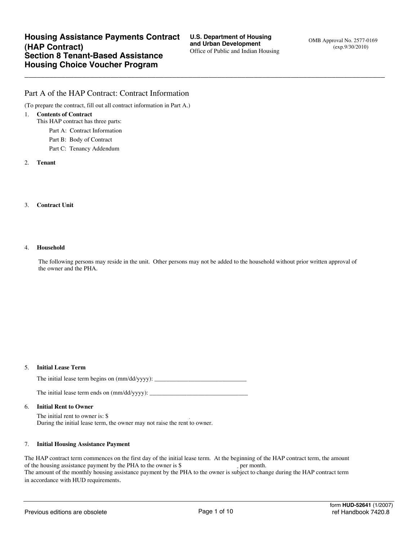\_\_\_\_\_\_\_\_\_\_\_\_\_\_\_\_\_\_\_\_\_\_\_\_\_\_\_\_\_\_\_\_\_\_\_\_\_\_\_\_\_\_\_\_\_\_\_\_\_\_\_\_\_\_\_\_\_\_\_\_\_\_\_\_\_\_\_\_\_\_\_\_\_\_\_\_\_\_\_\_\_\_\_\_\_\_\_\_

## Part A of the HAP Contract: Contract Information

(To prepare the contract, fill out all contract information in Part A.)

#### 1. **Contents of Contract**

This HAP contract has three parts: Part A: Contract Information

Part B: Body of Contract

Part C: Tenancy Addendum

#### 2. **Tenant**

#### 3. **Contract Unit**

#### 4. **Household**

The following persons may reside in the unit. Other persons may not be added to the household without prior written approval of the owner and the PHA.

#### 5. **Initial Lease Term**

The initial lease term begins on (mm/dd/yyyy): \_\_\_\_\_\_\_\_\_\_\_\_\_\_\_\_\_\_\_\_\_\_\_\_\_\_\_\_\_\_

The initial lease term ends on (mm/dd/yyyy): \_\_\_\_\_\_\_\_\_\_\_\_\_\_\_\_\_\_\_\_\_\_\_\_\_\_\_\_\_\_\_\_

#### 6. **Initial Rent to Owner**

The initial rent to owner is: \$ During the initial lease term, the owner may not raise the rent to owner.

#### 7. **Initial Housing Assistance Payment**

The HAP contract term commences on the first day of the initial lease term. At the beginning of the HAP contract term, the amount of the housing assistance payment by the PHA to the owner is \$ \_\_\_\_\_\_\_\_\_\_\_\_\_\_\_\_\_\_ per month. The amount of the monthly housing assistance payment by the PHA to the owner is subject to change during the HAP contract term in accordance with HUD requirements.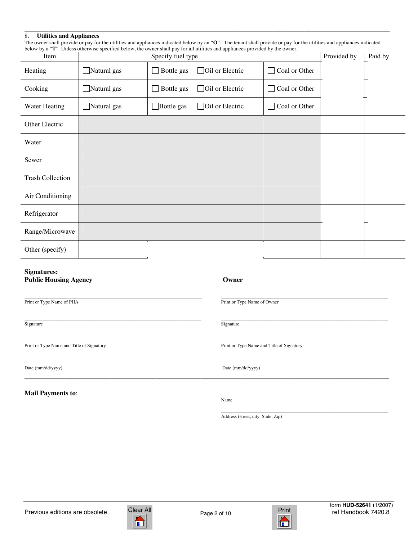#### \_\_\_\_\_\_\_\_\_\_\_\_\_\_\_\_\_\_\_\_\_\_\_\_\_\_\_\_\_\_\_\_\_\_\_\_\_\_\_\_\_\_\_\_\_\_\_\_\_\_\_\_\_\_\_\_\_\_\_\_\_\_\_\_\_\_\_\_\_\_\_\_\_\_\_\_\_\_\_\_\_\_\_\_\_\_\_\_\_\_\_\_\_\_\_\_\_\_\_\_\_\_\_\_\_\_\_ 8. **Utilities and Appliances**

The owner shall provide or pay for the utilities and appliances indicated below by an "**O**". The tenant shall provide or pay for the utilities and appliances indicated below by a "**T**". Unless otherwise specified below, the owner shall pay for all utilities and appliances provided by the owner.

| Item                                               | below by a "1". Unless otherwise specified below, the owner shall pay for all utilities and appliances provided by the owner.<br>Specify fuel type |                   |                   |                                           | Provided by | Paid by |  |
|----------------------------------------------------|----------------------------------------------------------------------------------------------------------------------------------------------------|-------------------|-------------------|-------------------------------------------|-------------|---------|--|
| Heating                                            | Natural gas                                                                                                                                        | Bottle gas        | □ Oil or Electric | Coal or Other                             |             |         |  |
| Cooking                                            | $\Box$ Natural gas                                                                                                                                 | Bottle gas        | □ Oil or Electric | Coal or Other                             |             |         |  |
| Water Heating                                      | $\Box$ Natural gas                                                                                                                                 | $\Box$ Bottle gas | □ Oil or Electric | Coal or Other                             |             |         |  |
| Other Electric                                     |                                                                                                                                                    |                   |                   |                                           |             |         |  |
| Water                                              |                                                                                                                                                    |                   |                   |                                           |             |         |  |
| Sewer                                              |                                                                                                                                                    |                   |                   |                                           |             |         |  |
| <b>Trash Collection</b>                            |                                                                                                                                                    |                   |                   |                                           |             |         |  |
| Air Conditioning                                   |                                                                                                                                                    |                   |                   |                                           |             |         |  |
| Refrigerator                                       |                                                                                                                                                    |                   |                   |                                           |             |         |  |
| Range/Microwave                                    |                                                                                                                                                    |                   |                   |                                           |             |         |  |
| Other (specify)                                    |                                                                                                                                                    |                   |                   |                                           |             |         |  |
| <b>Signatures:</b><br><b>Public Housing Agency</b> |                                                                                                                                                    | Owner             |                   |                                           |             |         |  |
| Print or Type Name of PHA                          |                                                                                                                                                    |                   |                   | Print or Type Name of Owner               |             |         |  |
| Signature                                          |                                                                                                                                                    |                   | Signature         |                                           |             |         |  |
| Print or Type Name and Title of Signatory          |                                                                                                                                                    |                   |                   | Print or Type Name and Title of Signatory |             |         |  |
| Date (mm/dd/yyyy)                                  |                                                                                                                                                    |                   |                   | Date (mm/dd/yyyy)                         |             |         |  |
| <b>Mail Payments to:</b>                           |                                                                                                                                                    |                   |                   |                                           |             |         |  |

Name

\_\_\_\_\_\_\_\_\_\_\_\_\_\_\_\_\_\_\_\_\_\_\_\_\_\_\_\_\_\_\_\_\_\_\_\_\_\_\_\_\_\_\_\_\_\_\_\_\_\_\_\_\_\_\_\_\_\_\_\_\_\_\_\_\_\_\_\_\_\_ Address (street, city, State, Zip)



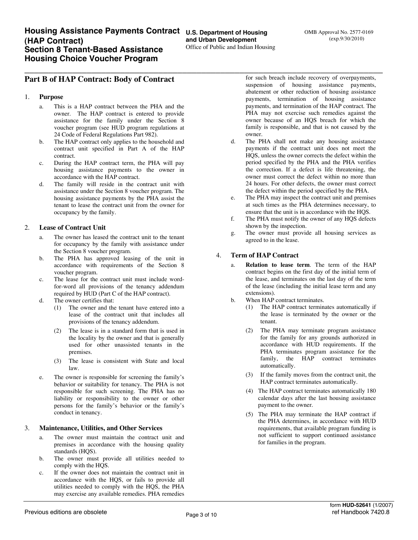\_\_\_\_\_\_\_\_\_\_\_\_\_\_\_\_\_\_\_\_\_\_\_\_\_\_\_\_\_\_\_\_\_\_\_\_\_\_\_\_\_\_\_\_\_\_\_\_\_\_\_\_\_\_\_\_\_\_\_\_\_\_\_\_\_\_\_\_\_\_\_\_\_\_\_

# **Part B of HAP Contract: Body of Contract**

#### 1. **Purpose**

- a. This is a HAP contract between the PHA and the owner. The HAP contract is entered to provide assistance for the family under the Section 8 voucher program (see HUD program regulations at 24 Code of Federal Regulations Part 982).
- b. The HAP contract only applies to the household and contract unit specified in Part A of the HAP contract.
- c. During the HAP contract term, the PHA will pay housing assistance payments to the owner in accordance with the HAP contract.
- d. The family will reside in the contract unit with assistance under the Section 8 voucher program. The housing assistance payments by the PHA assist the tenant to lease the contract unit from the owner for occupancy by the family.

#### 2. **Lease of Contract Unit**

- The owner has leased the contract unit to the tenant for occupancy by the family with assistance under the Section 8 voucher program.
- b. The PHA has approved leasing of the unit in accordance with requirements of the Section 8 voucher program.
- c. The lease for the contract unit must include wordfor-word all provisions of the tenancy addendum required by HUD (Part C of the HAP contract).
- d. The owner certifies that:
	- (1) The owner and the tenant have entered into a lease of the contract unit that includes all provisions of the tenancy addendum.
	- (2) The lease is in a standard form that is used in the locality by the owner and that is generally used for other unassisted tenants in the premises.
	- (3) The lease is consistent with State and local law.
- e. The owner is responsible for screening the family's behavior or suitability for tenancy. The PHA is not responsible for such screening. The PHA has no liability or responsibility to the owner or other persons for the family's behavior or the family's conduct in tenancy.

#### 3. **Maintenance, Utilities, and Other Services**

- a. The owner must maintain the contract unit and premises in accordance with the housing quality standards (HOS).
- b. The owner must provide all utilities needed to comply with the HQS.
- c. If the owner does not maintain the contract unit in accordance with the HQS, or fails to provide all utilities needed to comply with the HQS, the PHA may exercise any available remedies. PHA remedies

for such breach include recovery of overpayments, suspension of housing assistance payments, abatement or other reduction of housing assistance payments, termination of housing assistance payments, and termination of the HAP contract. The PHA may not exercise such remedies against the owner because of an HQS breach for which the family is responsible, and that is not caused by the owner.

- d. The PHA shall not make any housing assistance payments if the contract unit does not meet the HQS, unless the owner corrects the defect within the period specified by the PHA and the PHA verifies the correction. If a defect is life threatening, the owner must correct the defect within no more than 24 hours. For other defects, the owner must correct the defect within the period specified by the PHA.
- e. The PHA may inspect the contract unit and premises at such times as the PHA determines necessary, to ensure that the unit is in accordance with the HQS.
- f. The PHA must notify the owner of any HQS defects shown by the inspection.
- g. The owner must provide all housing services as agreed to in the lease.

#### 4. **Term of HAP Contract**

- a. **Relation to lease term**. The term of the HAP contract begins on the first day of the initial term of the lease, and terminates on the last day of the term of the lease (including the initial lease term and any extensions).
- b. When HAP contract terminates.
	- (1) The HAP contract terminates automatically if the lease is terminated by the owner or the tenant.
	- (2) The PHA may terminate program assistance for the family for any grounds authorized in accordance with HUD requirements. If the PHA terminates program assistance for the family, the HAP contract terminates automatically.
	- (3) If the family moves from the contract unit, the HAP contract terminates automatically.
	- (4) The HAP contract terminates automatically 180 calendar days after the last housing assistance payment to the owner.
	- (5) The PHA may terminate the HAP contract if the PHA determines, in accordance with HUD requirements, that available program funding is not sufficient to support continued assistance for families in the program.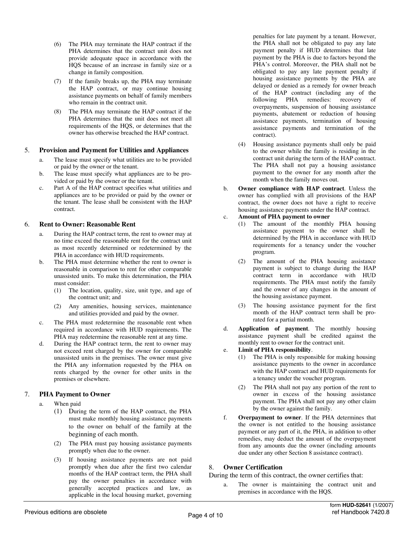- (6) The PHA may terminate the HAP contract if the PHA determines that the contract unit does not provide adequate space in accordance with the HQS because of an increase in family size or a change in family composition.
- (7) If the family breaks up, the PHA may terminate the HAP contract, or may continue housing assistance payments on behalf of family members who remain in the contract unit.
- (8) The PHA may terminate the HAP contract if the PHA determines that the unit does not meet all requirements of the HQS, or determines that the owner has otherwise breached the HAP contract.

## 5. **Provision and Payment for Utilities and Appliances**

- a. The lease must specify what utilities are to be provided or paid by the owner or the tenant.
- b. The lease must specify what appliances are to be provided or paid by the owner or the tenant.
- c. Part A of the HAP contract specifies what utilities and appliances are to be provided or paid by the owner or the tenant. The lease shall be consistent with the HAP contract.

#### 6. **Rent to Owner: Reasonable Rent**

- a. During the HAP contract term, the rent to owner may at no time exceed the reasonable rent for the contract unit as most recently determined or redetermined by the PHA in accordance with HUD requirements.
- b. The PHA must determine whether the rent to owner is reasonable in comparison to rent for other comparable unassisted units. To make this determination, the PHA must consider:
	- (1) The location, quality, size, unit type, and age of the contract unit; and
	- (2) Any amenities, housing services, maintenance and utilities provided and paid by the owner.
- c. The PHA must redetermine the reasonable rent when required in accordance with HUD requirements. The PHA may redetermine the reasonable rent at any time.
- d. During the HAP contract term, the rent to owner may not exceed rent charged by the owner for comparable unassisted units in the premises. The owner must give the PHA any information requested by the PHA on rents charged by the owner for other units in the premises or elsewhere.

## 7. **PHA Payment to Owner**

- a. When paid
	- (1) During the term of the HAP contract, the PHA must make monthly housing assistance payments to the owner on behalf of the family at the beginning of each month.
	- (2) The PHA must pay housing assistance payments promptly when due to the owner.
	- (3) If housing assistance payments are not paid promptly when due after the first two calendar months of the HAP contract term, the PHA shall pay the owner penalties in accordance with generally accepted practices and law, as applicable in the local housing market, governing

penalties for late payment by a tenant. However, the PHA shall not be obligated to pay any late payment penalty if HUD determines that late payment by the PHA is due to factors beyond the PHA's control. Moreover, the PHA shall not be obligated to pay any late payment penalty if housing assistance payments by the PHA are delayed or denied as a remedy for owner breach of the HAP contract (including any of the following PHA remedies: recovery of overpayments, suspension of housing assistance payments, abatement or reduction of housing assistance payments, termination of housing assistance payments and termination of the contract).

- (4) Housing assistance payments shall only be paid to the owner while the family is residing in the contract unit during the term of the HAP contract. The PHA shall not pay a housing assistance payment to the owner for any month after the month when the family moves out.
- b. **Owner compliance with HAP contract**. Unless the owner has complied with all provisions of the HAP contract, the owner does not have a right to receive housing assistance payments under the HAP contract.

## c. **Amount of PHA payment to owner**

- (1) The amount of the monthly PHA housing assistance payment to the owner shall be determined by the PHA in accordance with HUD requirements for a tenancy under the voucher program.
- (2) The amount of the PHA housing assistance payment is subject to change during the HAP contract term in accordance with HUD requirements. The PHA must notify the family and the owner of any changes in the amount of the housing assistance payment.
- (3) The housing assistance payment for the first month of the HAP contract term shall be prorated for a partial month.
- d. **Application of payment**. The monthly housing assistance payment shall be credited against the monthly rent to owner for the contract unit.
- e. **Limit of PHA responsibility**.
	- (1) The PHA is only responsible for making housing assistance payments to the owner in accordance with the HAP contract and HUD requirements for a tenancy under the voucher program.
	- (2) The PHA shall not pay any portion of the rent to owner in excess of the housing assistance payment. The PHA shall not pay any other claim by the owner against the family.
- f. **Overpayment to owner**. If the PHA determines that the owner is not entitled to the housing assistance payment or any part of it, the PHA, in addition to other remedies, may deduct the amount of the overpayment from any amounts due the owner (including amounts due under any other Section 8 assistance contract).

## 8. **Owner Certification**

During the term of this contract, the owner certifies that:

a. The owner is maintaining the contract unit and premises in accordance with the HQS.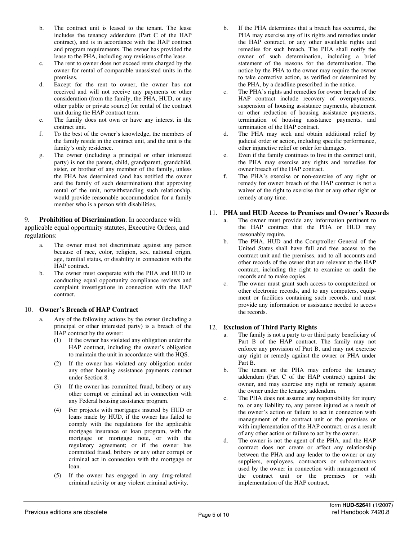- b. The contract unit is leased to the tenant. The lease includes the tenancy addendum (Part C of the HAP contract), and is in accordance with the HAP contract and program requirements. The owner has provided the lease to the PHA, including any revisions of the lease.
- c. The rent to owner does not exceed rents charged by the owner for rental of comparable unassisted units in the premises.
- d. Except for the rent to owner, the owner has not received and will not receive any payments or other consideration (from the family, the PHA, HUD, or any other public or private source) for rental of the contract unit during the HAP contract term.
- e. The family does not own or have any interest in the contract unit.
- f. To the best of the owner's knowledge, the members of the family reside in the contract unit, and the unit is the family's only residence.
- g. The owner (including a principal or other interested party) is not the parent, child, grandparent, grandchild, sister, or brother of any member of the family, unless the PHA has determined (and has notified the owner and the family of such determination) that approving rental of the unit, notwithstanding such relationship, would provide reasonable accommodation for a family member who is a person with disabilities.

#### 9. **Prohibition of Discrimination**. In accordance with

applicable equal opportunity statutes, Executive Orders, and regulations:

- a. The owner must not discriminate against any person because of race, color, religion, sex, national origin, age, familial status, or disability in connection with the HAP contract.
- b. The owner must cooperate with the PHA and HUD in conducting equal opportunity compliance reviews and complaint investigations in connection with the HAP contract.

## 10. **Owner's Breach of HAP Contract**

- a. Any of the following actions by the owner (including a principal or other interested party) is a breach of the HAP contract by the owner:
	- (1) If the owner has violated any obligation under the HAP contract, including the owner's obligation to maintain the unit in accordance with the HQS.
	- (2) If the owner has violated any obligation under any other housing assistance payments contract under Section 8.
	- (3) If the owner has committed fraud, bribery or any other corrupt or criminal act in connection with any Federal housing assistance program.
	- (4) For projects with mortgages insured by HUD or loans made by HUD, if the owner has failed to comply with the regulations for the applicable mortgage insurance or loan program, with the mortgage or mortgage note, or with the regulatory agreement; or if the owner has committed fraud, bribery or any other corrupt or criminal act in connection with the mortgage or loan.
	- (5) If the owner has engaged in any drug-related criminal activity or any violent criminal activity.
- b. If the PHA determines that a breach has occurred, the PHA may exercise any of its rights and remedies under the HAP contract, or any other available rights and remedies for such breach. The PHA shall notify the owner of such determination, including a brief statement of the reasons for the determination. The notice by the PHA to the owner may require the owner to take corrective action, as verified or determined by the PHA, by a deadline prescribed in the notice.
- c. The PHA's rights and remedies for owner breach of the HAP contract include recovery of overpayments, suspension of housing assistance payments, abatement or other reduction of housing assistance payments, termination of housing assistance payments, and termination of the HAP contract.
- d. The PHA may seek and obtain additional relief by judicial order or action, including specific performance, other injunctive relief or order for damages.
- e. Even if the family continues to live in the contract unit, the PHA may exercise any rights and remedies for owner breach of the HAP contract.
- f. The PHA's exercise or non-exercise of any right or remedy for owner breach of the HAP contract is not a waiver of the right to exercise that or any other right or remedy at any time.

#### 11. **PHA and HUD Access to Premises and Owner's Records**

- a. The owner must provide any information pertinent to the HAP contract that the PHA or HUD may reasonably require.
- b. The PHA, HUD and the Comptroller General of the United States shall have full and free access to the contract unit and the premises, and to all accounts and other records of the owner that are relevant to the HAP contract, including the right to examine or audit the records and to make copies.
- c. The owner must grant such access to computerized or other electronic records, and to any computers, equipment or facilities containing such records, and must provide any information or assistance needed to access the records.

## 12. **Exclusion of Third Party Rights**

- a. The family is not a party to or third party beneficiary of Part B of the HAP contract. The family may not enforce any provision of Part B, and may not exercise any right or remedy against the owner or PHA under Part B.
- b. The tenant or the PHA may enforce the tenancy addendum (Part C of the HAP contract) against the owner, and may exercise any right or remedy against the owner under the tenancy addendum.
- c. The PHA does not assume any responsibility for injury to, or any liability to, any person injured as a result of the owner's action or failure to act in connection with management of the contract unit or the premises or with implementation of the HAP contract, or as a result of any other action or failure to act by the owner.
- d. The owner is not the agent of the PHA, and the HAP contract does not create or affect any relationship between the PHA and any lender to the owner or any suppliers, employees, contractors or subcontractors used by the owner in connection with management of the contract unit or the premises or with implementation of the HAP contract.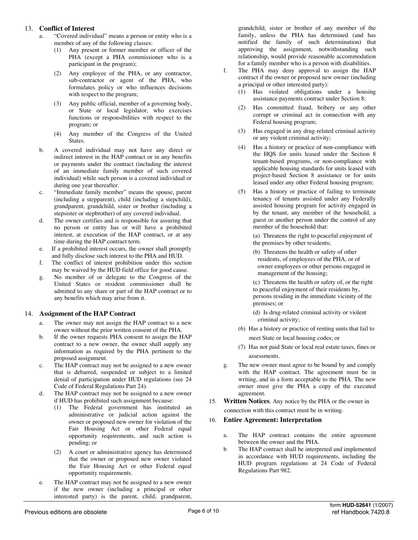## 13. **Conflict of Interest**

- "Covered individual" means a person or entity who is a member of any of the following classes:
	- (1) Any present or former member or officer of the PHA (except a PHA commissioner who is a participant in the program);
	- (2) Any employee of the PHA, or any contractor, sub-contractor or agent of the PHA, who formulates policy or who influences decisions with respect to the program;
	- (3) Any public official, member of a governing body, or State or local legislator, who exercises functions or responsibilities with respect to the program; or
	- (4) Any member of the Congress of the United States.
- b. A covered individual may not have any direct or indirect interest in the HAP contract or in any benefits or payments under the contract (including the interest of an immediate family member of such covered individual) while such person is a covered individual or during one year thereafter.
- c. "Immediate family member" means the spouse, parent (including a stepparent), child (including a stepchild), grandparent, grandchild, sister or brother (including a stepsister or stepbrother) of any covered individual.
- d. The owner certifies and is responsible for assuring that no person or entity has or will have a prohibited interest, at execution of the HAP contract, or at any time during the HAP contract term.
- e. If a prohibited interest occurs, the owner shall promptly and fully disclose such interest to the PHA and HUD.
- f. The conflict of interest prohibition under this section may be waived by the HUD field office for good cause.
- g. No member of or delegate to the Congress of the United States or resident commissioner shall be admitted to any share or part of the HAP contract or to any benefits which may arise from it.

## 14. **Assignment of the HAP Contract**

- a. The owner may not assign the HAP contract to a new owner without the prior written consent of the PHA.
- b. If the owner requests PHA consent to assign the HAP contract to a new owner, the owner shall supply any information as required by the PHA pertinent to the proposed assignment.
- c. The HAP contract may not be assigned to a new owner that is debarred, suspended or subject to a limited denial of participation under HUD regulations (see 24 Code of Federal Regulations Part 24).
- d. The HAP contract may not be assigned to a new owner if HUD has prohibited such assignment because:
	- (1) The Federal government has instituted an administrative or judicial action against the owner or proposed new owner for violation of the Fair Housing Act or other Federal equal opportunity requirements, and such action is pending; or
	- (2) A court or administrative agency has determined that the owner or proposed new owner violated the Fair Housing Act or other Federal equal opportunity requirements.
- e. The HAP contract may not be assigned to a new owner if the new owner (including a principal or other interested party) is the parent, child, grandparent,

grandchild, sister or brother of any member of the family, unless the PHA has determined (and has notified the family of such determination) that approving the assignment, notwithstanding such relationship, would provide reasonable accommodation for a family member who is a person with disabilities.

- f. The PHA may deny approval to assign the HAP contract if the owner or proposed new owner (including a principal or other interested party):
	- (1) Has violated obligations under a housing assistance payments contract under Section 8;
	- (2) Has committed fraud, bribery or any other corrupt or criminal act in connection with any Federal housing program;
	- (3) Has engaged in any drug-related criminal activity or any violent criminal activity;
	- (4) Has a history or practice of non-compliance with the HQS for units leased under the Section 8 tenant-based programs, or non-compliance with applicable housing standards for units leased with project-based Section 8 assistance or for units leased under any other Federal housing program;
	- (5) Has a history or practice of failing to terminate tenancy of tenants assisted under any Federally assisted housing program for activity engaged in by the tenant, any member of the household, a guest or another person under the control of any member of the household that:

(a) Threatens the right to peaceful enjoyment of the premises by other residents;

(b) Threatens the health or safety of other residents, of employees of the PHA, or of owner employees or other persons engaged in management of the housing;

(c) Threatens the health or safety of, or the right to peaceful enjoyment of their residents by, persons residing in the immediate vicinity of the premises; or

- (d) Is drug-related criminal activity or violent criminal activity;
- (6) Has a history or practice of renting units that fail to meet State or local housing codes; or
- (7) Has not paid State or local real estate taxes, fines or assessments.
- g. The new owner must agree to be bound by and comply with the HAP contract. The agreement must be in writing, and in a form acceptable to the PHA. The new owner must give the PHA a copy of the executed agreement.
- 15. **Written Notices**. Any notice by the PHA or the owner in connection with this contract must be in writing.

#### 16. **Entire Agreement: Interpretation**

- a. The HAP contract contains the entire agreement between the owner and the PHA.
- b The HAP contract shall be interpreted and implemented in accordance with HUD requirements, including the HUD program regulations at 24 Code of Federal Regulations Part 982.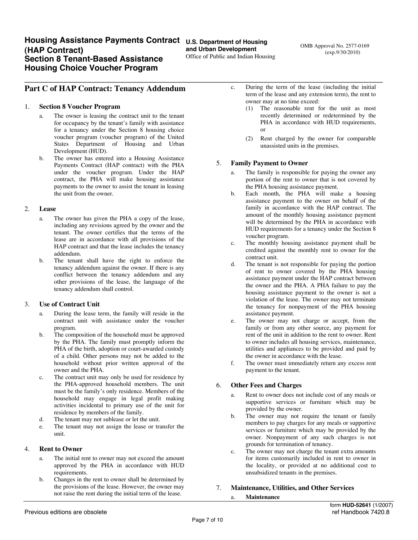# **and Urban Development** Office of Public and Indian Housing

OMB Approval No. 2577-0169 (exp.9/30/2010)

# **Part C of HAP Contract: Tenancy Addendum**

## 1. **Section 8 Voucher Program**

- a. The owner is leasing the contract unit to the tenant for occupancy by the tenant's family with assistance for a tenancy under the Section 8 housing choice voucher program (voucher program) of the United States Department of Housing and Urban Development (HUD).
- b. The owner has entered into a Housing Assistance Payments Contract (HAP contract) with the PHA under the voucher program. Under the HAP contract, the PHA will make housing assistance payments to the owner to assist the tenant in leasing the unit from the owner.

#### 2. **Lease**

- a. The owner has given the PHA a copy of the lease, including any revisions agreed by the owner and the tenant. The owner certifies that the terms of the lease are in accordance with all provisions of the HAP contract and that the lease includes the tenancy addendum.
- b. The tenant shall have the right to enforce the tenancy addendum against the owner. If there is any conflict between the tenancy addendum and any other provisions of the lease, the language of the tenancy addendum shall control.

#### 3. **Use of Contract Unit**

- a. During the lease term, the family will reside in the contract unit with assistance under the voucher program.
- b. The composition of the household must be approved by the PHA. The family must promptly inform the PHA of the birth, adoption or court-awarded custody of a child. Other persons may not be added to the household without prior written approval of the owner and the PHA.
- c. The contract unit may only be used for residence by the PHA-approved household members. The unit must be the family's only residence. Members of the household may engage in legal profit making activities incidental to primary use of the unit for residence by members of the family.
- d. The tenant may not sublease or let the unit.
- e. The tenant may not assign the lease or transfer the unit.

## 4. **Rent to Owner**

- a. The initial rent to owner may not exceed the amount approved by the PHA in accordance with HUD requirements.
- b. Changes in the rent to owner shall be determined by the provisions of the lease. However, the owner may not raise the rent during the initial term of the lease.
- \_\_\_\_\_\_\_\_\_\_\_\_\_\_\_\_\_\_\_\_\_\_\_\_\_\_\_\_\_\_\_\_\_\_\_\_\_\_\_\_\_\_\_\_\_\_\_\_\_\_\_\_\_\_\_\_\_\_\_\_\_\_\_\_\_\_\_\_\_\_\_\_\_\_\_ c. During the term of the lease (including the initial term of the lease and any extension term), the rent to owner may at no time exceed:<br>(1) The reasonable rent f
	- The reasonable rent for the unit as most recently determined or redetermined by the PHA in accordance with HUD requirements, or
	- (2) Rent charged by the owner for comparable unassisted units in the premises.

## 5. **Family Payment to Owner**

- The family is responsible for paying the owner any portion of the rent to owner that is not covered by the PHA housing assistance payment.
- b. Each month, the PHA will make a housing assistance payment to the owner on behalf of the family in accordance with the HAP contract. The amount of the monthly housing assistance payment will be determined by the PHA in accordance with HUD requirements for a tenancy under the Section 8 voucher program.
- c. The monthly housing assistance payment shall be credited against the monthly rent to owner for the contract unit.
- d. The tenant is not responsible for paying the portion of rent to owner covered by the PHA housing assistance payment under the HAP contract between the owner and the PHA. A PHA failure to pay the housing assistance payment to the owner is not a violation of the lease. The owner may not terminate the tenancy for nonpayment of the PHA housing assistance payment.
- e. The owner may not charge or accept, from the family or from any other source, any payment for rent of the unit in addition to the rent to owner. Rent to owner includes all housing services, maintenance, utilities and appliances to be provided and paid by the owner in accordance with the lease.
- f. The owner must immediately return any excess rent payment to the tenant.

#### 6. **Other Fees and Charges**

- a. Rent to owner does not include cost of any meals or supportive services or furniture which may be provided by the owner.
- b. The owner may not require the tenant or family members to pay charges for any meals or supportive services or furniture which may be provided by the owner. Nonpayment of any such charges is not grounds for termination of tenancy.
- c. The owner may not charge the tenant extra amounts for items customarily included in rent to owner in the locality, or provided at no additional cost to unsubsidized tenants in the premises.

## 7. **Maintenance, Utilities, and Other Services**

a. **Maintenance**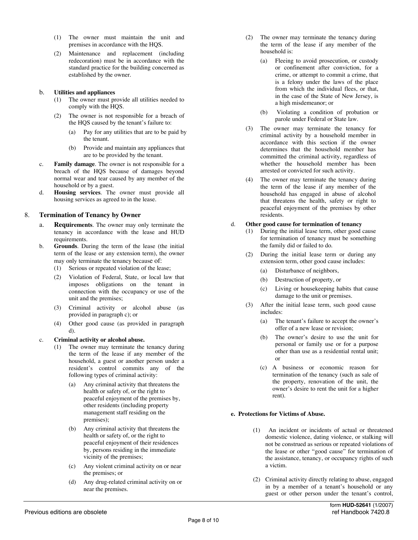- (1) The owner must maintain the unit and premises in accordance with the HQS.
- (2) Maintenance and replacement (including redecoration) must be in accordance with the standard practice for the building concerned as established by the owner.

#### b. **Utilities and appliances**

- (1) The owner must provide all utilities needed to comply with the HQS.
- (2) The owner is not responsible for a breach of the HQS caused by the tenant's failure to:
	- (a) Pay for any utilities that are to be paid by the tenant.
	- (b) Provide and maintain any appliances that are to be provided by the tenant.
- c. **Family damage**. The owner is not responsible for a breach of the HQS because of damages beyond normal wear and tear caused by any member of the household or by a guest.
- d. **Housing services**. The owner must provide all housing services as agreed to in the lease.

#### 8. **Termination of Tenancy by Owner**

- a. **Requirements**. The owner may only terminate the tenancy in accordance with the lease and HUD requirements.
- b. **Grounds**. During the term of the lease (the initial term of the lease or any extension term), the owner may only terminate the tenancy because of:
	- (1) Serious or repeated violation of the lease;
	- (2) Violation of Federal, State, or local law that imposes obligations on the tenant in connection with the occupancy or use of the unit and the premises;
	- (3) Criminal activity or alcohol abuse (as provided in paragraph c); or
	- (4) Other good cause (as provided in paragraph d).
- c. **Criminal activity or alcohol abuse.**
	- (1) The owner may terminate the tenancy during the term of the lease if any member of the household, a guest or another person under a resident's control commits any of the following types of criminal activity:
		- (a) Any criminal activity that threatens the health or safety of, or the right to peaceful enjoyment of the premises by, other residents (including property management staff residing on the premises);
		- (b) Any criminal activity that threatens the health or safety of, or the right to peaceful enjoyment of their residences by, persons residing in the immediate vicinity of the premises;
		- (c) Any violent criminal activity on or near the premises; or
		- (d) Any drug-related criminal activity on or near the premises.
- (2) The owner may terminate the tenancy during the term of the lease if any member of the household is:
	- (a) Fleeing to avoid prosecution, or custody or confinement after conviction, for a crime, or attempt to commit a crime, that is a felony under the laws of the place from which the individual flees, or that, in the case of the State of New Jersey, is a high misdemeanor; or
	- (b) Violating a condition of probation or parole under Federal or State law.
- (3) The owner may terminate the tenancy for criminal activity by a household member in accordance with this section if the owner determines that the household member has committed the criminal activity, regardless of whether the household member has been arrested or convicted for such activity.
- (4) The owner may terminate the tenancy during the term of the lease if any member of the household has engaged in abuse of alcohol that threatens the health, safety or right to peaceful enjoyment of the premises by other residents.

#### d. **Other good cause for termination of tenancy**

- (1) During the initial lease term, other good cause for termination of tenancy must be something the family did or failed to do.
- (2) During the initial lease term or during any extension term, other good cause includes:
	- (a) Disturbance of neighbors,
	- (b) Destruction of property, or
	- (c) Living or housekeeping habits that cause damage to the unit or premises.
- (3) After the initial lease term, such good cause includes:
	- (a) The tenant's failure to accept the owner's offer of a new lease or revision;
	- (b) The owner's desire to use the unit for personal or family use or for a purpose other than use as a residential rental unit; or
	- (c) A business or economic reason for termination of the tenancy (such as sale of the property, renovation of the unit, the owner's desire to rent the unit for a higher rent).

#### **e. Protections for Victims of Abuse.**

- (1) An incident or incidents of actual or threatened domestic violence, dating violence, or stalking will not be construed as serious or repeated violations of the lease or other "good cause" for termination of the assistance, tenancy, or occupancy rights of such a victim.
- (2) Criminal activity directly relating to abuse, engaged in by a member of a tenant's household or any guest or other person under the tenant's control,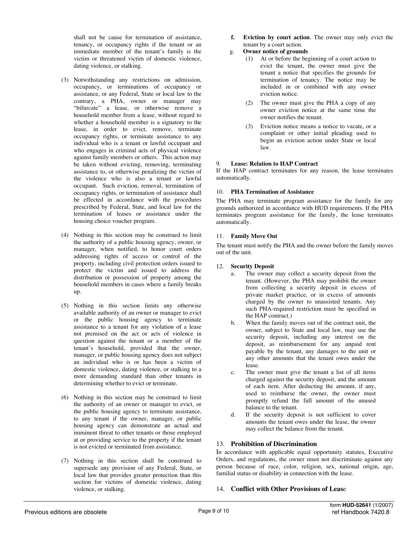shall not be cause for termination of assistance, tenancy, or occupancy rights if the tenant or an immediate member of the tenant's family is the victim or threatened victim of domestic violence, dating violence, or stalking.

- (3) Notwithstanding any restrictions on admission, occupancy, or terminations of occupancy or assistance, or any Federal, State or local law to the contrary, a PHA, owner or manager may "bifurcate" a lease, or otherwise remove a household member from a lease, without regard to whether a household member is a signatory to the lease, in order to evict, remove, terminate occupancy rights, or terminate assistance to any individual who is a tenant or lawful occupant and who engages in criminal acts of physical violence against family members or others. This action may be taken without evicting, removing, terminating assistance to, or otherwise penalizing the victim of the violence who is also a tenant or lawful occupant. Such eviction, removal, termination of occupancy rights, or termination of assistance shall be effected in accordance with the procedures prescribed by Federal, State, and local law for the termination of leases or assistance under the housing choice voucher program.
- (4) Nothing in this section may be construed to limit the authority of a public housing agency, owner, or manager, when notified, to honor court orders addressing rights of access or control of the property, including civil protection orders issued to protect the victim and issued to address the distribution or possession of property among the household members in cases where a family breaks up.
- (5) Nothing in this section limits any otherwise available authority of an owner or manager to evict or the public housing agency to terminate assistance to a tenant for any violation of a lease not premised on the act or acts of violence in question against the tenant or a member of the tenant's household, provided that the owner, manager, or public housing agency does not subject an individual who is or has been a victim of domestic violence, dating violence, or stalking to a more demanding standard than other tenants in determining whether to evict or terminate.
- (6) Nothing in this section may be construed to limit the authority of an owner or manager to evict, or the public housing agency to terminate assistance, to any tenant if the owner, manager, or public housing agency can demonstrate an actual and imminent threat to other tenants or those employed at or providing service to the property if the tenant is not evicted or terminated from assistance.
- (7) Nothing in this section shall be construed to supersede any provision of any Federal, State, or local law that provides greater protection than this section for victims of domestic violence, dating violence, or stalking.
- **f. Eviction by court action**. The owner may only evict the tenant by a court action.
- g. **Owner notice of grounds**
	- (1) At or before the beginning of a court action to evict the tenant, the owner must give the tenant a notice that specifies the grounds for termination of tenancy. The notice may be included in or combined with any owner eviction notice.
	- (2) The owner must give the PHA a copy of any owner eviction notice at the same time the owner notifies the tenant.
	- (3) Eviction notice means a notice to vacate, or a complaint or other initial pleading used to begin an eviction action under State or local law.

## 9. **Lease: Relation to HAP Contract**

If the HAP contract terminates for any reason, the lease terminates automatically.

#### 10. **PHA Termination of Assistance**

The PHA may terminate program assistance for the family for any grounds authorized in accordance with HUD requirements. If the PHA terminates program assistance for the family, the lease terminates automatically.

#### 11. **Family Move Out**

The tenant must notify the PHA and the owner before the family moves out of the unit.

#### 12. **Security Deposit**

- a. The owner may collect a security deposit from the tenant. (However, the PHA may prohibit the owner from collecting a security deposit in excess of private market practice, or in excess of amounts charged by the owner to unassisted tenants. Any such PHA-required restriction must be specified in the HAP contract.)
- b. When the family moves out of the contract unit, the owner, subject to State and local law, may use the security deposit, including any interest on the deposit, as reimbursement for any unpaid rent payable by the tenant, any damages to the unit or any other amounts that the tenant owes under the lease.
- c. The owner must give the tenant a list of all items charged against the security deposit, and the amount of each item. After deducting the amount, if any, used to reimburse the owner, the owner must promptly refund the full amount of the unused balance to the tenant.
- d. If the security deposit is not sufficient to cover amounts the tenant owes under the lease, the owner may collect the balance from the tenant.

## 13. **Prohibition of Discrimination**

In accordance with applicable equal opportunity statutes, Executive Orders, and regulations, the owner must not discriminate against any person because of race, color, religion, sex, national origin, age, familial status or disability in connection with the lease.

#### 14. **Conflict with Other Provisions of Leas**e